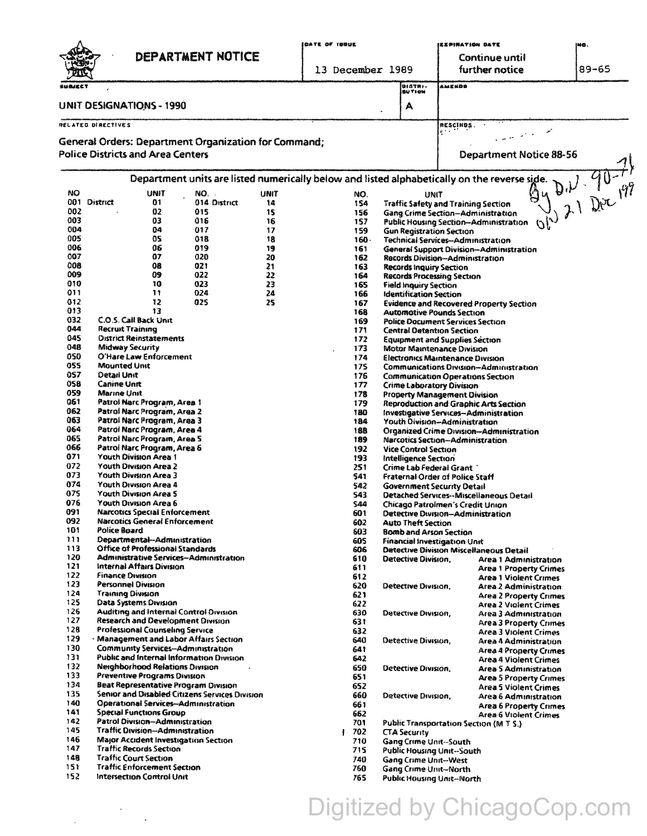|                                 |                                                                          | DEPARTMENT NOTICE                      |                                                      |             | DATE OF 188UE |                                                            |                                                                                       |                                                               | IEIPINATION DATE<br>ING.<br>Continue until                                                   |                                         |  |
|---------------------------------|--------------------------------------------------------------------------|----------------------------------------|------------------------------------------------------|-------------|---------------|------------------------------------------------------------|---------------------------------------------------------------------------------------|---------------------------------------------------------------|----------------------------------------------------------------------------------------------|-----------------------------------------|--|
|                                 |                                                                          |                                        |                                                      |             |               |                                                            | 13 December 1989                                                                      |                                                               | further notice                                                                               | $89 - 65$                               |  |
| SU BJECT                        |                                                                          |                                        |                                                      |             |               |                                                            |                                                                                       | DISTRI-                                                       | <b>AMENDS</b>                                                                                |                                         |  |
|                                 |                                                                          |                                        |                                                      |             |               |                                                            |                                                                                       | BU TI ON                                                      |                                                                                              |                                         |  |
| <b>UNIT DESIGNATIONS - 1990</b> |                                                                          |                                        |                                                      |             |               |                                                            |                                                                                       | А                                                             |                                                                                              |                                         |  |
| RELATED DIRECTIVES              |                                                                          |                                        |                                                      |             |               |                                                            |                                                                                       |                                                               | RESCINDS.                                                                                    |                                         |  |
|                                 |                                                                          |                                        | General Orders: Department Organization for Command; |             |               |                                                            |                                                                                       |                                                               |                                                                                              |                                         |  |
|                                 | <b>Police Districts and Area Centers</b>                                 |                                        |                                                      |             |               |                                                            |                                                                                       |                                                               | <b>Department Notice 88-56</b>                                                               |                                         |  |
|                                 |                                                                          |                                        |                                                      |             |               |                                                            |                                                                                       |                                                               | Department units are listed numerically below and listed alphabetically on the reverse side. | $D_{1}$ $D_{1}$ $D_{1}$ $D_{1}$ $D_{1}$ |  |
| <b>NO</b>                       |                                                                          | <b>UNIT</b>                            | NO. .                                                | <b>UNIT</b> |               | NO.                                                        |                                                                                       | UNIT                                                          |                                                                                              |                                         |  |
| 002                             | 001 District                                                             | 01<br>02                               | 014 District<br>015                                  | 14<br>15    |               | 154<br>156                                                 |                                                                                       |                                                               | <b>Traffic Safety and Training Section</b><br>Gang Crime Section--Administration             |                                         |  |
| 003                             |                                                                          | 03                                     | 016                                                  | 16          |               | 157                                                        |                                                                                       |                                                               | Public Housing Section--Administration<br>10)                                                |                                         |  |
| 004                             |                                                                          | 04                                     | 017                                                  | 17          |               | 159                                                        |                                                                                       | <b>Gun Registration Section</b>                               |                                                                                              |                                         |  |
| 005<br>006                      |                                                                          | 05<br>06                               | 018<br>019                                           | 18<br>19    |               | $160 -$<br>161                                             |                                                                                       |                                                               | Technical Services-Administration<br><b>General Support Division-Administration</b>          |                                         |  |
| 007                             |                                                                          | 07                                     | 020                                                  | 20          |               | 162                                                        |                                                                                       |                                                               | Records Division--Administration                                                             |                                         |  |
| 008                             |                                                                          | 08                                     | 021                                                  | 21          |               | 163                                                        |                                                                                       | Records Inquiry Section                                       |                                                                                              |                                         |  |
| 009<br>010                      |                                                                          | 09<br>10                               | 022<br>023                                           | 22<br>23    |               | 164                                                        |                                                                                       |                                                               | <b>Records Processing Section</b>                                                            |                                         |  |
| 011                             |                                                                          | 11                                     | 024                                                  | 24          |               | 165<br>166                                                 |                                                                                       | <b>Field Inquiry Section</b><br><b>Identification Section</b> |                                                                                              |                                         |  |
| 012                             |                                                                          | 12                                     | 025                                                  | 25          |               | 167                                                        |                                                                                       |                                                               | <b>Evidence and Recovered Property Section</b>                                               |                                         |  |
| 013<br>032                      |                                                                          | 13<br>C.O.S. Call Back Unit            |                                                      |             |               | 168                                                        |                                                                                       |                                                               | <b>Automotive Pounds Section</b>                                                             |                                         |  |
| 044                             | <b>Recruit Training</b>                                                  |                                        |                                                      |             |               | 169<br>171                                                 |                                                                                       |                                                               | <b>Police Document Services Section</b><br><b>Central Detention Section</b>                  |                                         |  |
| 045                             |                                                                          | <b>Oistrict Reinstatements</b>         |                                                      |             |               | 172                                                        |                                                                                       |                                                               | <b>Equipment and Supplies Section</b>                                                        |                                         |  |
| 048                             | <b>Midway Security</b>                                                   |                                        |                                                      |             |               | 173                                                        |                                                                                       |                                                               | <b>Motor Maintenance Division</b>                                                            |                                         |  |
| 050<br>055                      | <b>Mounted Unit</b>                                                      | O'Hare Law Enforcement                 |                                                      |             |               | 174<br>175                                                 |                                                                                       |                                                               | <b>Electronics Maintenance Division</b>                                                      |                                         |  |
| 057                             | <b>Detail Unit</b>                                                       |                                        |                                                      |             |               | 176                                                        |                                                                                       |                                                               | <b>Communications Division-Administration</b><br><b>Communication Operations Section</b>     |                                         |  |
| 058                             | <b>Canine Unit</b>                                                       |                                        |                                                      |             |               | 177                                                        | <b>Crime Laboratory Division</b>                                                      |                                                               |                                                                                              |                                         |  |
| 059<br>061                      | <b>Marine Unit</b>                                                       |                                        |                                                      |             |               | 178                                                        | Property Management Division                                                          |                                                               |                                                                                              |                                         |  |
| 062                             |                                                                          | Patrol Narc Program, Area 1            |                                                      |             |               | 179<br>180                                                 | Reproduction and Graphic Arts Section<br><b>Investigative Services-Administration</b> |                                                               |                                                                                              |                                         |  |
| 063                             | Patrol Narc Program, Area 2<br>Patroi Narc Program, Area 3               |                                        |                                                      |             |               | 184                                                        | Youth Division—Administration                                                         |                                                               |                                                                                              |                                         |  |
| 064                             | Patrol Narc Program, Area 4                                              |                                        |                                                      |             |               | 188                                                        | <b>Organized Crime Division-Administration</b>                                        |                                                               |                                                                                              |                                         |  |
| 065<br>066                      | Patrol Narc Program, Area 5<br>Patrol Narc Program, Area 6               |                                        |                                                      |             |               | 189<br>192                                                 | <b>Narcotics Section-Administration</b><br><b>Vice Control Section</b>                |                                                               |                                                                                              |                                         |  |
| 071                             | Youth Division Area 1                                                    |                                        |                                                      |             |               | 193                                                        | Intelligence Section                                                                  |                                                               |                                                                                              |                                         |  |
| 072                             | <b>Youth Division Area 2</b>                                             |                                        |                                                      |             |               | 251                                                        | Crime Lab Federal Grant                                                               |                                                               |                                                                                              |                                         |  |
| 073<br>074                      | <b>Youth Division Area 3</b>                                             |                                        |                                                      |             |               | 541<br>542                                                 | Fraternal Order of Police Staff                                                       |                                                               |                                                                                              |                                         |  |
| 075                             | Youth Division Area 4<br>Youth Division Area 5                           |                                        |                                                      |             |               | 543                                                        | <b>Government Security Detail</b><br>Detached Services--Miscellaneous Detail          |                                                               |                                                                                              |                                         |  |
| 076                             |                                                                          | Youth Division Area 6                  |                                                      |             |               | 544                                                        | Chicago Patrolmen's Credit Union                                                      |                                                               |                                                                                              |                                         |  |
| 091<br>092                      | <b>Narcotics Special Enforcement</b>                                     |                                        |                                                      |             |               | 601                                                        | Detective Division-Administration                                                     |                                                               |                                                                                              |                                         |  |
| 101                             | <b>Narcotics General Enforcement</b><br>Police Board                     |                                        |                                                      |             | 602<br>603    | <b>Auto Theft Section</b><br><b>Bomb and Arson Section</b> |                                                                                       |                                                               |                                                                                              |                                         |  |
| 111                             |                                                                          | Departmental-Administration            |                                                      |             |               | 605                                                        |                                                                                       |                                                               | <b>Financial Investigation Unit</b>                                                          |                                         |  |
| 113                             |                                                                          | Office of Professional Standards       |                                                      |             |               | 606                                                        |                                                                                       |                                                               | <b>Detective Division Miscellaneous Detail</b>                                               |                                         |  |
| 120<br>121                      |                                                                          | internal Affairs Division              | <b>Administrative Services-Administration</b>        |             |               | 610<br>611                                                 |                                                                                       | Detective Division,                                           | Area 1 Administration<br><b>Area 1 Property Crimes</b>                                       |                                         |  |
| 122                             | <b>Finance Division</b>                                                  |                                        |                                                      |             |               | 612                                                        |                                                                                       |                                                               | <b>Area 1 Violent Crimes</b>                                                                 |                                         |  |
| 123                             |                                                                          | Personnel Division                     |                                                      |             |               | 620                                                        |                                                                                       | Detective Division.                                           | Area 2 Administration                                                                        |                                         |  |
| 124<br>125                      | Training Division                                                        | Data Systems Division                  |                                                      |             |               | 621<br>622                                                 |                                                                                       |                                                               | <b>Area 2 Property Crimes</b>                                                                |                                         |  |
| 126                             |                                                                          |                                        | <b>Auditing and Internal Control Division</b>        |             |               | 630                                                        |                                                                                       | Detective Division,                                           | <b>Area 2 Violent Crimes</b><br>Area 3 Administration                                        |                                         |  |
| 127                             |                                                                          |                                        | Research and Development Division                    |             |               | 631                                                        |                                                                                       |                                                               | <b>Area 3 Property Crimes</b>                                                                |                                         |  |
| 128<br>129                      |                                                                          | Professional Counseling Service        | <b>Management and Labor Affairs Section</b>          |             |               | 632                                                        |                                                                                       |                                                               | <b>Area 3 Violent Crimes</b>                                                                 |                                         |  |
| 130                             |                                                                          |                                        | <b>Community Services-Administration</b>             |             |               | 640<br>641                                                 |                                                                                       | Detective Division,                                           | Area 4 Administration<br><b>Area 4 Property Crimes</b>                                       |                                         |  |
| 131                             |                                                                          |                                        | Public and Internal Information Division             |             |               | 642                                                        |                                                                                       |                                                               | <b>Area 4 Violent Crimes</b>                                                                 |                                         |  |
| 132                             |                                                                          | <b>Neighborhood Relations Division</b> |                                                      |             |               | 650                                                        |                                                                                       | Detective Division.                                           | <b>Area 5 Administration</b>                                                                 |                                         |  |
| 133<br>134                      |                                                                          | <b>Preventive Programs Division</b>    | <b>Beat Representative Program Division</b>          |             |               | 651<br>652                                                 |                                                                                       |                                                               | <b>Area 5 Property Crimes</b>                                                                |                                         |  |
| 135                             |                                                                          |                                        | Senior and Disabled Citizens Services Division       |             |               | 660                                                        |                                                                                       | Detective Division,                                           | <b>Area 5 Violent Crimes</b><br><b>Area 6 Administration</b>                                 |                                         |  |
| 140                             |                                                                          |                                        | <b>Operational Services-Administration</b>           |             |               | 661                                                        |                                                                                       |                                                               | <b>Area 6 Property Crimes</b>                                                                |                                         |  |
| 141<br>142                      |                                                                          | <b>Special Functions Group</b>         |                                                      |             |               | 662                                                        |                                                                                       |                                                               | Area 6 Violent Crimes                                                                        |                                         |  |
| 145                             | Patrol Division-Administration<br><b>Traffic Division-Administration</b> |                                        |                                                      |             |               | 701<br>702                                                 | <b>Public Transportation Section (M T S.)</b><br><b>CTA Security</b>                  |                                                               |                                                                                              |                                         |  |
| 146                             |                                                                          |                                        | Major Accident Investigation Section                 |             |               | 710                                                        |                                                                                       | <b>Gang Crime Unit--South</b>                                 |                                                                                              |                                         |  |
| 147                             |                                                                          | <b>Traffic Records Section</b>         |                                                      |             |               | 715                                                        |                                                                                       |                                                               | Public Housing Unit--South                                                                   |                                         |  |
|                                 |                                                                          | <b>Traffic Court Section</b>           |                                                      |             |               | 740                                                        |                                                                                       | <b>Gang Crime Unit--West</b>                                  |                                                                                              |                                         |  |
| 148<br>151                      |                                                                          | <b>Traffic Enforcement Section</b>     |                                                      |             |               | 760                                                        |                                                                                       | <b>Gang Crime Unit-North</b>                                  |                                                                                              |                                         |  |

 $\label{eq:2.1} \frac{1}{2}\left(\frac{1}{2}\right)^{2} \left(\frac{1}{2}\right)^{2} \left(\frac{1}{2}\right)^{2} \left(\frac{1}{2}\right)^{2}$ 

Digitized by ChicagoCop.com